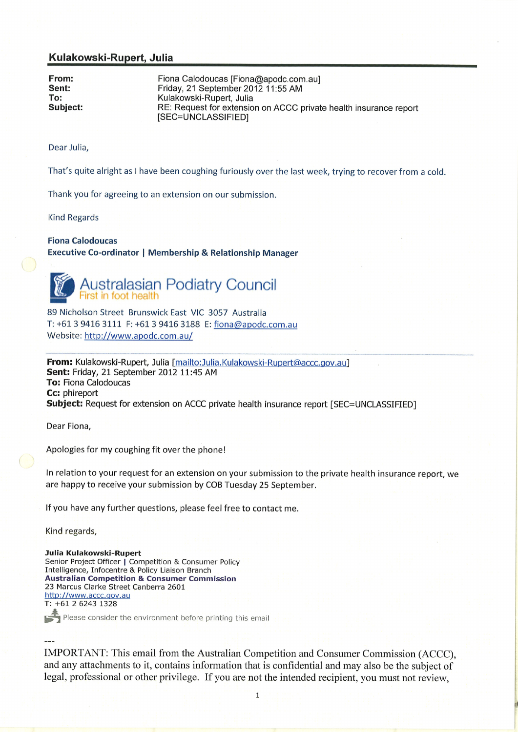## Kulakowski-Rupert, Julia

From: Fiona Calodoucas [Fiona@apodc.com.au]<br>
Sent: Friday, 21 September 2012 11:55 AM<br>
To: Kulakowski-Rupert, Julia<br>
Subject: Request for extension on ACCC private health insurance report [SEC=UNCLASSIFIED]

Dear Julia,

That's quite alright as <sup>I</sup>have been coughing furiously over the last week, trying to recover from a cold.

Thank you for agreeing to an extension on our submission.

Kind Regards

## Fiona Calodoucas

Executive Co-ordinator I Membership & Relationship Manager



 $\begin{pmatrix} 1 \\ 1 \end{pmatrix}$ 

Australasian Podiatry Council<br>First in foot health

89 Nicholson Street Brunswick East VIC 3057 Australia T: +61 3 9416 3111 F: +61 3 9416 3188 E: fiona@apodc.com.au Website: http://www.apodc.com.au/

From: Kulakowski-Rupert, Julia [mailto:Julia.Kulakowski-Rupert@accc.gov.au] Sent: Friday, 21 September 2012 11:45 AM To: Fiona Calodoucas Cc: phireport Subject: Request for extension on ACCC private health insurance report [SEC=UNCLASSIFIED]

Dear Fiona,

Apologies for my coughing fit over the phone!

ln relation to your request for an extension on your submission to the private health insurance report, we are happy to receive your submission by COB Tuesday 25 September.

lf you have any further questions, please feel free to contact me.

Kind regards,

Julia Kulakowski-Rupert Senior Project Officer | Competition & Consumer Policy Intelligence, Infocentre & Policy Liaison Branch **Australian Competition & Consumer Commission** 23 Marcus Clarke Street Canberra 2601 http://www.accc.gov.au T: +61 2 6243 1328

Please consider the environment before printing this email

IMPORTANT: This email from the Australian Competition and Consumer Commission (ACCC), and any attachments to it, contains information that is confidential and may also be the subject of legal, professional or other privilege. If you are not the intended recipient, you must not review,

 $\overline{1}$